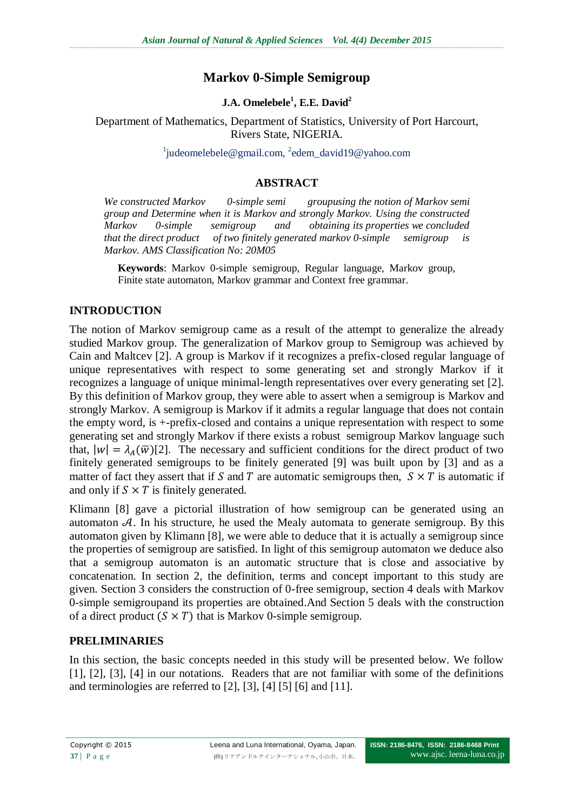# **Markov 0-Simple Semigroup**

# **J.A. Omelebele<sup>1</sup> , E.E. David<sup>2</sup>**

Department of Mathematics, Department of Statistics, University of Port Harcourt, Rivers State, NIGERIA.

<sup>1</sup>[judeomelebele@gmail.com,](mailto:1judeomelebele@gmail.com) <sup>2</sup>edem\_david19@yahoo.com

## **ABSTRACT**

*We constructed Markov 0-simple semi groupusing the notion of Markov semi group and Determine when it is Markov and strongly Markov. Using the constructed Markov 0-simple semigroup and obtaining its properties we concluded that the direct product of two finitely generated markov 0-simple semigroup is Markov. AMS Classification No: 20M05*

**Keywords**: Markov 0-simple semigroup, Regular language, Markov group, Finite state automaton, Markov grammar and Context free grammar.

## **INTRODUCTION**

The notion of Markov semigroup came as a result of the attempt to generalize the already studied Markov group. The generalization of Markov group to Semigroup was achieved by Cain and Maltcev [2]. A group is Markov if it recognizes a prefix-closed regular language of unique representatives with respect to some generating set and strongly Markov if it recognizes a language of unique minimal-length representatives over every generating set [2]. By this definition of Markov group, they were able to assert when a semigroup is Markov and strongly Markov. A semigroup is Markov if it admits a regular language that does not contain the empty word, is +-prefix-closed and contains a unique representation with respect to some generating set and strongly Markov if there exists a robust semigroup Markov language such that,  $|w| = \lambda_A(\overline{w})[2]$ . The necessary and sufficient conditions for the direct product of two finitely generated semigroups to be finitely generated [9] was built upon by [3] and as a matter of fact they assert that if S and T are automatic semigroups then,  $S \times T$  is automatic if and only if  $S \times T$  is finitely generated.

Klimann [8] gave a pictorial illustration of how semigroup can be generated using an automaton  $A$ . In his structure, he used the Mealy automata to generate semigroup. By this automaton given by Klimann [8], we were able to deduce that it is actually a semigroup since the properties of semigroup are satisfied. In light of this semigroup automaton we deduce also that a semigroup automaton is an automatic structure that is close and associative by concatenation. In section 2, the definition, terms and concept important to this study are given. Section 3 considers the construction of 0-free semigroup, section 4 deals with Markov 0-simple semigroupand its properties are obtained.And Section 5 deals with the construction of a direct product  $(S \times T)$  that is Markov 0-simple semigroup.

# **PRELIMINARIES**

In this section, the basic concepts needed in this study will be presented below. We follow [1], [2], [3], [4] in our notations. Readers that are not familiar with some of the definitions and terminologies are referred to [2], [3], [4] [5] [6] and [11].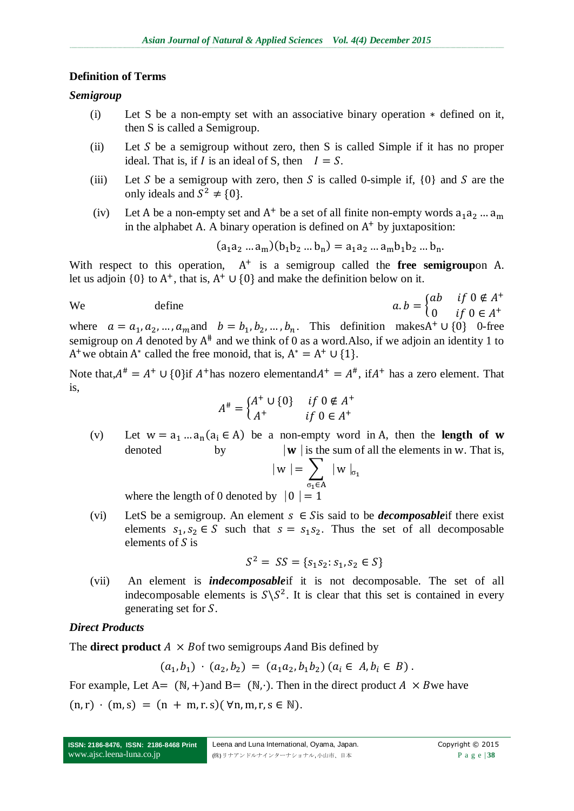#### **Definition of Terms**

#### *Semigroup*

- (i) Let S be a non-empty set with an associative binary operation  $*$  defined on it, then S is called a Semigroup.
- (ii) Let S be a semigroup without zero, then S is called Simple if it has no proper ideal. That is, if I is an ideal of S, then  $I = S$ .
- (iii) Let S be a semigroup with zero, then S is called 0-simple if,  ${0}$  and S are the only ideals and  $S^2 \neq \{0\}$ .
- (iv) Let A be a non-empty set and  $A^+$  be a set of all finite non-empty words in the alphabet A. A binary operation is defined on  $A<sup>+</sup>$  by juxtaposition:

$$
(a_1a_2...a_m)(b_1b_2...b_n) = a_1a_2...a_mb_1b_2...b_n.
$$

With respect to this operation,  $A^+$  is a semigroup called the **free semigroup**on A. let us adjoin  $\{0\}$  to  $A^+$ , that is,  $A^+ \cup \{0\}$  and make the definition below on it.

We define 
$$
a \cdot b = \begin{cases} ab & \text{if } 0 \notin A^+ \\ 0 & \text{if } 0 \in A^+ \end{cases}
$$

where  $a = a_1, a_2, ..., a_m$  and  $b = b_1, b_2, ..., b_n$ . This definition makes  $A^+ \cup \{0\}$  0-free semigroup on A denoted by  $A^*$  and we think of 0 as a word. Also, if we adjoin an identity 1 to A<sup>+</sup> we obtain A<sup>\*</sup> called the free monoid, that is,  $A^* = A^+ \cup \{1\}$ .

Note that,  $A^{\#} = A^+ \cup \{0\}$  if  $A^+$  has nozero elementand  $A^+ = A^{\#}$ , if  $A^+$  has a zero element. That is,

$$
A^{\#} = \begin{cases} A^{+} \cup \{0\} & \text{if } 0 \notin A^{+} \\ A^{+} & \text{if } 0 \in A^{+} \end{cases}
$$

(v) Let  $w = a_1 ... a_n (a_i \in A)$  be a non-empty word in A, then the **length of** denoted by  $|w|$  is the sum of all the elements in w. That is,

$$
|\,w\, \,| = \sum_{\sigma_1 \in A} \ | \,w\, \,|_{\sigma_1}
$$

where the length of 0 denoted by  $|0| = 1$ 

(vi) LetS be a semigroup. An element  $s \in S$  is said to be *decomposable* if there exist elements  $s_1, s_2 \in S$  such that  $s = s_1 s_2$ . Thus the set of all decomposable elements of  $S$  is

$$
S^2 = SS = \{s_1 s_2 : s_1, s_2 \in S\}
$$

(vii) An element is *indecomposable*if it is not decomposable. The set of all indecomposable elements is  $S\ S^2$ . It is clear that this set is contained in every generating set for S.

### *Direct Products*

The **direct product**  $A \times B$  of two semigroups A and B is defined by

$$
(a_1, b_1) \cdot (a_2, b_2) = (a_1 a_2, b_1 b_2) (a_i \in A, b_i \in B).
$$

For example, Let A =  $(N, +)$  and B =  $(N, \cdot)$ . Then in the direct product A  $\times$  B we have

 $(n, r) \cdot (m, s) = (n + m, r, s) (\forall n, m, r, s \in \mathbb{N}).$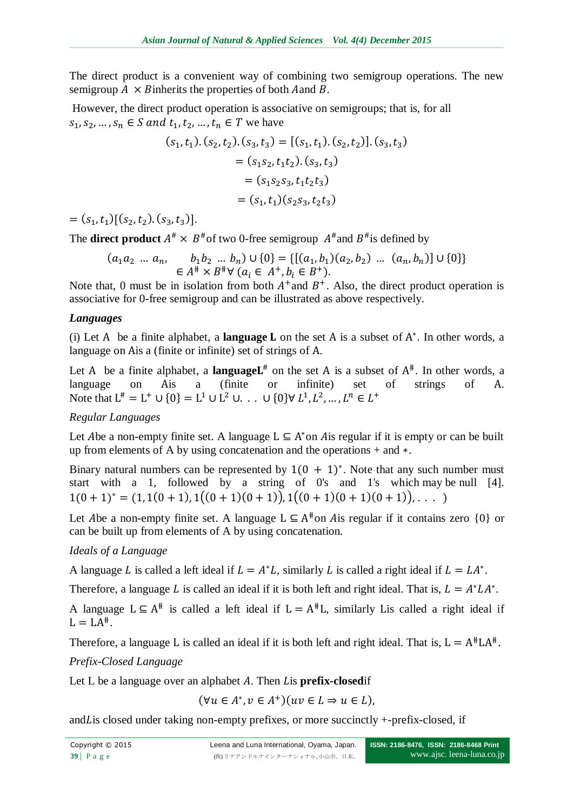The direct product is a convenient way of combining two semigroup operations. The new semigroup  $A \times B$  inherits the properties of both Aand B.

However, the direct product operation is associative on semigroups; that is, for all  $s_1, s_2, ..., s_n \in S$  and  $t_1, t_2, ..., t_n \in T$  we have

$$
(s_1, t_1). (s_2, t_2). (s_3, t_3) = [(s_1, t_1). (s_2, t_2)]. (s_3, t_3)
$$
  

$$
= (s_1s_2, t_1t_2). (s_3, t_3)
$$
  

$$
= (s_1s_2s_3, t_1t_2t_3)
$$
  

$$
= (s_1, t_1)(s_2s_3, t_2t_3)
$$

 $= (s_1, t_1) [(s_2, t_2), (s_3, t_3)].$ 

The **direct product**  $A^* \times B^*$  of two 0-free semigroup  $A^*$  and  $B^*$  is defined by

$$
(a_1 a_2 \dots a_n, \quad b_1 b_2 \dots b_n) \cup \{0\} = \{[(a_1, b_1)(a_2, b_2) \dots (a_n, b_n)] \cup \{0\}\}\
$$

$$
\in A^* \times B^* \forall (a_i \in A^+, b_i \in B^+).
$$

Note that, 0 must be in isolation from both  $A^+$  and  $B^+$ . Also, the direct product operation is associative for 0-free semigroup and can be illustrated as above respectively.

### *Languages*

(i) Let A be a finite alphabet, a **language**  $L$  on the set A is a subset of  $A^*$ . In other words, a language on A is a (finite or infinite) set of strings of A.

Let A be a finite alphabet, a **language**  $L^*$  on the set A is a subset of  $A^*$ . In other words, a language on Ais a (finite or infinite) set of strings of A. Note that  $L^* = L^+ \cup \{0\} = L^1 \cup L^2 \cup ... \cup \{0\} \forall L^1, L^2, ..., L^n \in L^+$ 

## *Regular Languages*

Let Abe a non-empty finite set. A language  $L \subseteq A^*$  on A is regular if it is empty or can be built up from elements of A by using concatenation and the operations  $+$  and  $*$ .

Binary natural numbers can be represented by  $1(0 + 1)^*$ . Note that any such number must start with a 1, followed by a string of 0's and 1's which may be null [4].  $1(0 + 1)^* = (1, 1(0 + 1), 1((0 + 1)(0 + 1)), 1((0 + 1)(0 + 1)(0 + 1)),$ 

Let Abe a non-empty finite set. A language  $L \subseteq A^*$  on Ais regular if it contains zero  $\{0\}$  or can be built up from elements of A by using concatenation.

## *Ideals of a Language*

A language L is called a left ideal if  $L = A^*L$ , similarly L is called a right ideal if  $L = LA^*$ .

Therefore, a language L is called an ideal if it is both left and right ideal. That is,  $L = A^*LA^*$ .

A language  $L \subseteq A^*$  is called a left ideal if  $L = A^*L$ , similarly Lis called a right ideal if  $L = LA^*$ .

Therefore, a language L is called an ideal if it is both left and right ideal. That is,  $L = A^{\#}LA^{\#}$ .

## *Prefix-Closed Language*

Let L be a language over an alphabet A. Then Lis **prefix-closed** if

 $(\forall u \in A^*, v \in A^+$ 

and L is closed under taking non-empty prefixes, or more succinctly  $+$ -prefix-closed, if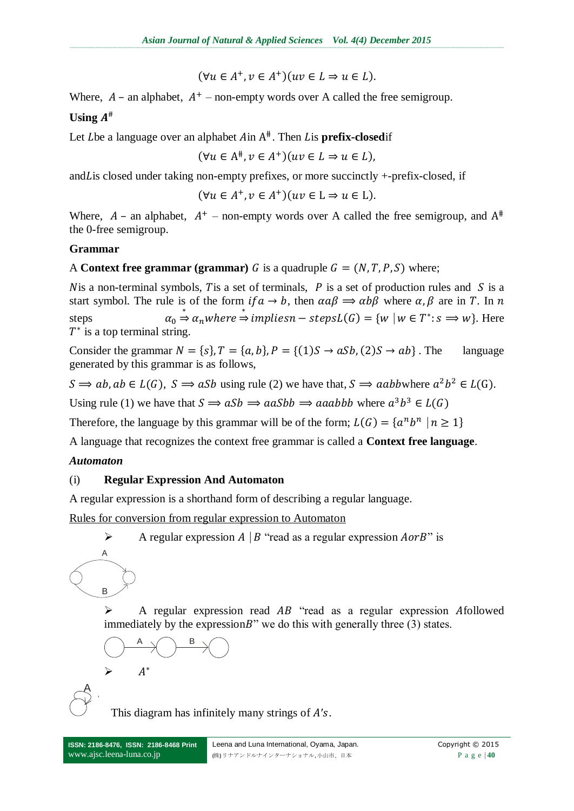$$
(\forall u \in A^+, v \in A^+)(uv \in L \Rightarrow u \in L).
$$

Where,  $A$  – an alphabet,  $A^+$  – non-empty words over A called the free semigroup.

# **Using**

Let Lbe a language over an alphabet Ain A<sup>#</sup>. Then Lis **prefix-closed**if

$$
(\forall u \in A^*, v \in A^*)(uv \in L \Rightarrow u \in L),
$$

and Lis closed under taking non-empty prefixes, or more succinctly  $+$ -prefix-closed, if

$$
(\forall u \in A^+, v \in A^+)(uv \in L \Rightarrow u \in L).
$$

Where,  $A$  – an alphabet,  $A^+$  – non-empty words over A called the free semigroup, and  $A^+$ the 0-free semigroup.

### **Grammar**

### A **Context free grammar (grammar)** *G* is a quadruple  $G = (N, T, P, S)$  where;

N is a non-terminal symbols, T is a set of terminals,  $P$  is a set of production rules and  $S$  is a start symbol. The rule is of the form  $if \alpha \to b$ , then  $\alpha \alpha \beta \Rightarrow \alpha b \beta$  where  $\alpha, \beta$  are in T. In n steps  $\stackrel{*}{\Rightarrow} \alpha_n$  where  $\stackrel{*}{\Rightarrow}$  impliesn – steps $L(G) = \{w \mid w \in T^* : s \implies w\}$ . Here  $T^*$  is a top terminal string.

Consider the grammar  $N = \{s\}$ ,  $T = \{a, b\}$ ,  $P = \{(1)S \rightarrow aSb, (2)S \rightarrow ab\}$ . The language generated by this grammar is as follows,

 $S \implies ab, ab \in L(G)$ ,  $S \implies aSb$  using rule (2) we have that,  $S \implies aabb$  where  $a^2b^2 \in L(G)$ .

Using rule (1) we have that  $S \implies aSb \implies aaSbb \implies aaabbb$  where  $a^3b^3$ 

Therefore, the language by this grammar will be of the form;  $L(G) = \{a^n b^n\}$ 

A language that recognizes the context free grammar is called a **Context free language**.

### *Automaton*

### (i) **Regular Expression And Automaton**

A regular expression is a shorthand form of describing a regular language.

Rules for conversion from regular expression to Automaton

A regular expression  $A \mid B$  "read as a regular expression  $A \text{ or } B$ " is

A  $\mathsf B\swarrow$ 

 $\blacktriangleright$ 

A

 $\triangleright$  A regular expression read AB "read as a regular expression Afollowed immediately by the expression B" we do this with generally three  $(3)$  states.

$$
\bigcirc\longrightarrow\hspace{-5pt}\bigcirc\overset{B}{\longrightarrow}\hspace{-5pt}\bigcirc\hspace{-5pt}\bigcirc
$$

This diagram has infinitely many strings of  $A's$ .

 $A^*$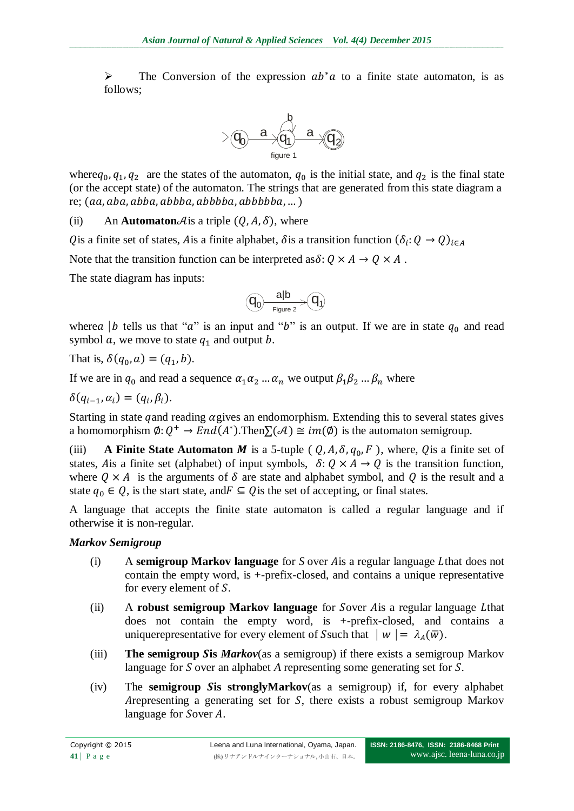$\triangleright$  The Conversion of the expression  $ab^*a$  to a finite state automaton, is as follows;



where  $q_0, q_1, q_2$  are the states of the automaton,  $q_0$  is the initial state, and  $q_2$  is the final state (or the accept state) of the automaton. The strings that are generated from this state diagram a re;  $(aa, aba, abba, abbba, abbbba, abbbbba, ...)$ 

(ii) An **Automaton**  $\mathcal{A}$  is a triple  $(Q, A, \delta)$ , where

Q is a finite set of states, A is a finite alphabet,  $\delta$  is a transition function  $(\delta_i)$ :

Note that the transition function can be interpreted as  $\delta: Q \times A \rightarrow Q \times A$ .

The state diagram has inputs:

$$
\textcircled{q_0} \xrightarrow[\text{Figure 2}]{\text{align}} \textcircled{q_1}
$$

where a | b tells us that " $a$ " is an input and "b" is an output. If we are in state  $q_0$  and read symbol  $a$ , we move to state  $q_1$  and output  $b$ .

That is,  $\delta(q_0, a) = (q_1, b)$ .

If we are in  $q_0$  and read a sequence  $\alpha_1 \alpha_2 \dots \alpha_n$  we output  $\beta_1 \beta_2 \dots \beta_n$  where

$$
\delta(q_{i-1},\alpha_i)=(q_i,\beta_i).
$$

Starting in state q and reading  $\alpha$  gives an endomorphism. Extending this to several states gives a homomorphism  $\emptyset: Q^+ \to End(A^*)$ . Then  $\Sigma(\mathcal{A}) \cong im(\emptyset)$  is the automaton semigroup.

(iii) **A Finite State Automaton** *M* is a 5-tuple ( $Q$ ,  $A$ ,  $\delta$ ,  $q_0$ ,  $F$ ), where,  $Q$  is a finite set of states, A is a finite set (alphabet) of input symbols,  $\delta: Q \times A \rightarrow Q$  is the transition function, where  $Q \times A$  is the arguments of  $\delta$  are state and alphabet symbol, and Q is the result and a state  $q_0 \in Q$ , is the start state, and  $F \subseteq Q$  is the set of accepting, or final states.

A language that accepts the finite state automaton is called a regular language and if otherwise it is non-regular.

## *Markov Semigroup*

- (i) A **semigroup Markov language** for *S* over *A* is a regular language *L*that does not contain the empty word, is +-prefix-closed, and contains a unique representative for every element of  $S$ .
- (ii) A **robust semigroup Markov language** for Sover A is a regular language Lthat does not contain the empty word, is +-prefix-closed, and contains a uniquerepresentative for every element of Ssuch that  $|w| = \lambda_A(\overline{w})$ .
- (iii) **The semigroup Sis** *Markov*(as a semigroup) if there exists a semigroup Markov language for S over an alphabet *A* representing some generating set for S.
- (iv) The **semigroup Sis stronglyMarkov**(as a semigroup) if, for every alphabet Arepresenting a generating set for  $S$ , there exists a robust semigroup Markov language for Sover A.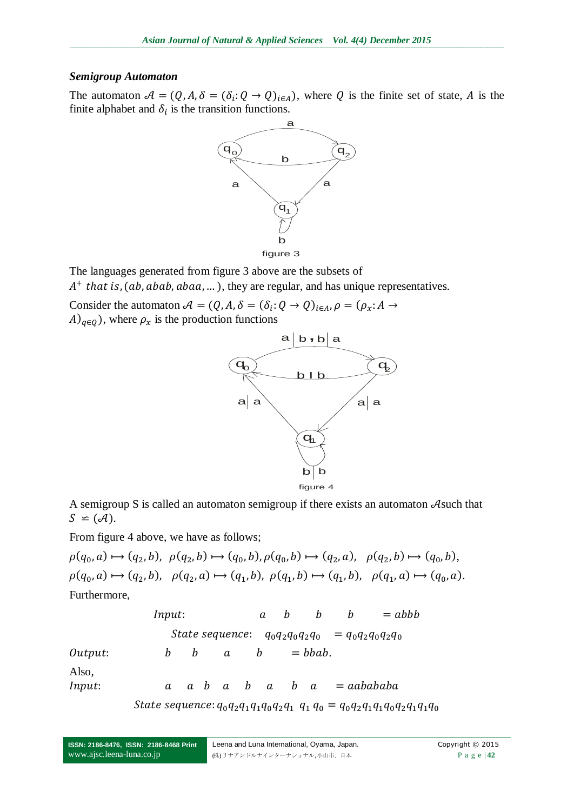#### *Semigroup Automaton*

The automaton  $A = (Q, A, \delta = (\delta_i: Q \to Q)_{i \in A})$ , where Q is the finite set of state, A is the finite alphabet and  $\delta_i$  is the transition functions.



The languages generated from figure 3 above are the subsets of  $A<sup>+</sup>$  that is, (ab, abab, abaa, ...), they are regular, and has unique representatives.

Consider the automaton  $A = (Q, A, \delta = (\delta_i$ :  $A)_{q\in Q}$ , where  $\rho_x$  is the production functions



A semigroup S is called an automaton semigroup if there exists an automaton  $\mathcal{A}$  such that  $S \cong (A).$ 

From figure 4 above, we have as follows;

 $\rho(q_0, a) \mapsto (q_2, b), \ \rho(q_2, b) \mapsto (q_0, b), \rho(q_0, b) \mapsto (q_2, a), \ \rho(q_2, b) \mapsto (q_0, b),$  $\rho(q_0, a) \mapsto (q_2, b), \quad \rho(q_2, a) \mapsto (q_1, b), \quad \rho(q_1, b) \mapsto (q_1, b), \quad \rho(q_1, a) \mapsto (q_0, a).$ Furthermore,

| Input:          | $a$               | $b$                 | $b$ | = abbb |         |     |            |
|-----------------|-------------------|---------------------|-----|--------|---------|-----|------------|
| State sequence: | $q_0q_2q_0q_2q_0$ | = $q_0q_2q_0q_2q_0$ |     |        |         |     |            |
| Output:         | $b$               | $b$                 | $a$ | $b$    | = bbab. |     |            |
| Also,           | $a$               | $a$                 | $b$ | $a$    | $b$     | $a$ | = aabababa |

State sequence:  $q_0q_2q_1q_1q_0q_2q_1$   $q_1$   $q_0$  =  $q_0q_2q_1q_1q_0q_2q_1q_1q_0$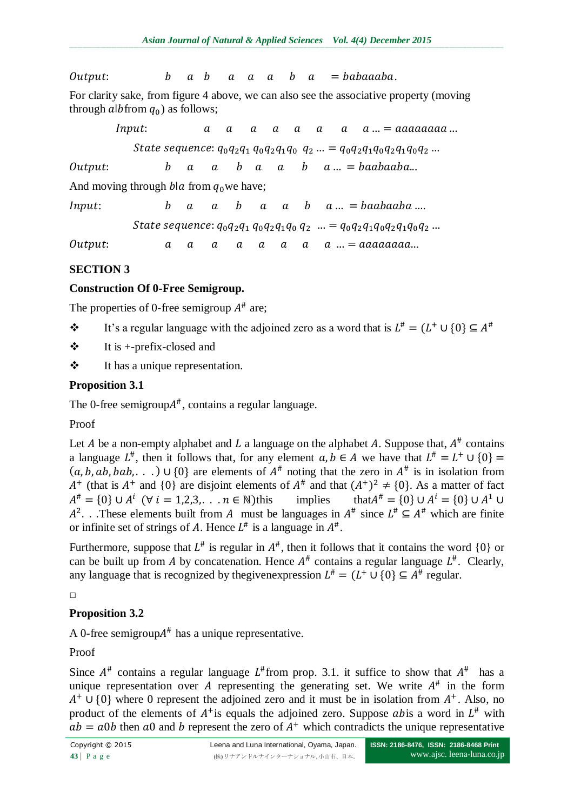Output:  $b \ a \ b \ a \ a \ a \ b \ a = babaaaba$ .

For clarity sake, from figure 4 above, we can also see the associative property (moving through albitrom  $q_0$ ) as follows;

Input:  $\overline{a}$  $\alpha$  $\alpha$  $\boldsymbol{a}$  $\boldsymbol{a}$  $\alpha$  $\boldsymbol{a}$  $a ... = aaaaaaaa...$ State sequence:  $q_0q_2q_1 q_0q_2q_1q_0 q_2 \ldots = q_0q_2q_1q_0q_2q_1q_0q_2 \ldots$ Output:  $b \ a \ a \ b \ a \ a \ b \ a \ ... = baabaaba...$ And moving through *b*|a from  $q_0$  we have;  $Input:$   $b \ a \ a \ b \ a \ a \ b \ a \ ... = baabaaba \ ...$ State sequence:  $q_0q_2q_1 q_0q_2q_1q_0 q_2 \dots = q_0q_2q_1q_0q_2q_1q_0q_2 \dots$ 

.

**SECTION 3**

## **Construction Of 0-Free Semigroup.**

The properties of 0-free semigroup  $A^*$  are;

- $\mathbf{\hat{B}}$  It's a regular language with the adjoined zero as a word that is  $L^{\#} = (L^+ \cup \{0\} \subseteq A^{\#})$
- $\triangleleft$  It is +-prefix-closed and
- It has a unique representation.

# **Proposition 3.1**

The 0-free semigroup $A^{\#}$ , contains a regular language.

Proof

Let A be a non-empty alphabet and L a language on the alphabet A. Suppose that,  $A^*$  contains a language  $L^{\#}$ , then it follows that, for any element  $a, b \in A$  we have that  $L^{\#} = L^+$  $(a, b, ab, bab, ...) \cup \{0\}$  are elements of  $A^*$  noting that the zero in  $A^*$  is in isolation from  $A^+$  (that is  $A^+$  and {0} are disjoint elements of  $A^+$  and that  $(A^+)^2 \neq \{0\}$ . As a matter of fact  $A^{\#} = \{0\} \cup A^{i}$  ( $\forall i = 1, 2, 3, \dots n \in \mathbb{N}$ ) this implies that A  $^{\#}$  – {0}  $\cup$  4<sup>i</sup> – {0}  $\cup$  4<sup>1</sup>  $A^2$ . These elements built from A must be languages in  $A^{\#}$  since  $L^{\#} \subseteq A^{\#}$  which are finite or infinite set of strings of A. Hence  $L^{\#}$  is a language in  $A^{\#}$ .

Furthermore, suppose that  $L^{\#}$  is regular in  $A^{\#}$ , then it follows that it contains the word {0} or can be built up from A by concatenation. Hence  $A^{\#}$  contains a regular language  $L^{\#}$ . Clearly, any language that is recognized by the given expression  $L^* = (L^+ \cup \{0\} \subseteq A^*$  regular.

 $\Box$ 

# **Proposition 3.2**

A 0-free semigroup $A^*$  has a unique representative.

Proof

Since  $A^{\#}$  contains a regular language  $L^{\#}$  from prop. 3.1. it suffice to show that  $A^{\#}$  has a unique representation over A representing the generating set. We write  $A^{\#}$  in the form  $A^+ \cup \{0\}$  where 0 represent the adjoined zero and it must be in isolation from  $A^+$ . Also, no product of the elements of  $A^+$  is equals the adjoined zero. Suppose abis a word in  $L^{\#}$  with  $ab = a0b$  then a0 and b represent the zero of  $A<sup>+</sup>$  which contradicts the unique representative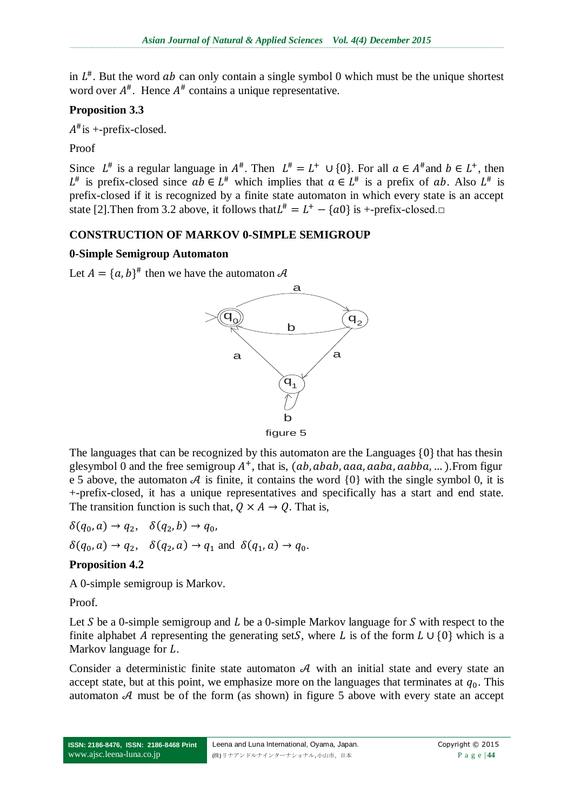in  $L^*$ . But the word ab can only contain a single symbol 0 which must be the unique shortest word over  $A^{\#}$ . Hence  $A^{\#}$  contains a unique representative.

## **Proposition 3.3**

 $A^{\#}$ is +-prefix-closed.

Proof

Since  $L^{\#}$  is a regular language in  $A^{\#}$ . Then  $L^{\#} = L^+ \cup \{0\}$ . For all  $a \in A^{\#}$  and  $b \in L^+$ , then  $L^{\#}$  is prefix-closed since  $ab \in L^{\#}$  which implies that  $a \in L^{\#}$  is a prefix of ab. Also  $L^{\#}$  is prefix-closed if it is recognized by a finite state automaton in which every state is an accept state [2]. Then from 3.2 above, it follows that  $L^* = L^+ - \{a0\}$  is +-prefix-closed.  $\Box$ 

## **CONSTRUCTION OF MARKOV 0-SIMPLE SEMIGROUP**

## **0-Simple Semigroup Automaton**

Let  $A = \{a, b\}^{\#}$  then we have the automaton





The languages that can be recognized by this automaton are the Languages  $\{0\}$  that has thesin glesymbol 0 and the free semigroup  $A^+$ , that is,  $(ab, abab, aaa, aaba, aabba, \dots)$ . From figur e 5 above, the automaton  $A$  is finite, it contains the word  $\{0\}$  with the single symbol 0, it is +-prefix-closed, it has a unique representatives and specifically has a start and end state. The transition function is such that,  $Q \times A \rightarrow Q$ . That is,

 $\delta(q_0, a) \rightarrow q_2, \quad \delta(q_2, b) \rightarrow q_0,$  $\delta(q_0, a) \rightarrow q_2$ ,  $\delta(q_2, a) \rightarrow q_1$  and  $\delta(q_1, a) \rightarrow q_0$ .

## **Proposition 4.2**

A 0-simple semigroup is Markov.

Proof.

Let S be a 0-simple semigroup and L be a 0-simple Markov language for S with respect to the finite alphabet A representing the generating set S, where L is of the form  $L \cup \{0\}$  which is a Markov language for  $L$ .

Consider a deterministic finite state automaton  $A$  with an initial state and every state an accept state, but at this point, we emphasize more on the languages that terminates at  $q_0$ . This automaton  $A$  must be of the form (as shown) in figure 5 above with every state an accept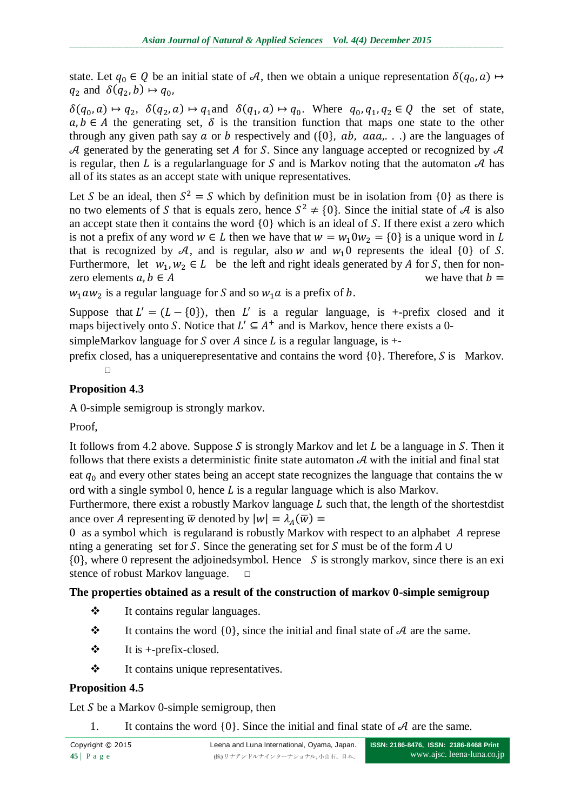state. Let  $q_0 \in Q$  be an initial state of A, then we obtain a unique representation  $\delta(q_0, a) \mapsto$  $q_2$  and  $\delta(q_2, b) \mapsto q_0$ ,

 $\delta(q_0, a) \mapsto q_2$ ,  $\delta(q_2, a) \mapsto q_1$  and  $\delta(q_1, a) \mapsto q_0$ . Where  $q_0, q_1, q_2 \in Q$  the set of state,  $a, b \in A$  the generating set,  $\delta$  is the transition function that maps one state to the other through any given path say a or b respectively and ( $\{0\}$ , ab, aaa, ...) are the languages of A generated by the generating set A for S. Since any language accepted or recognized by  $A$ is regular, then L is a regularlanguage for S and is Markov noting that the automaton  $A$  has all of its states as an accept state with unique representatives.

Let S be an ideal, then  $S^2 = S$  which by definition must be in isolation from {0} as there is no two elements of S that is equals zero, hence  $S^2 \neq \{0\}$ . Since the initial state of A is also an accept state then it contains the word  $\{0\}$  which is an ideal of S. If there exist a zero which is not a prefix of any word  $w \in L$  then we have that  $w = w_1 0 w_2 = \{0\}$  is a unique word in L that is recognized by A, and is regular, also w and  $w_1$  of represents the ideal  $\{0\}$  of S. Furthermore, let  $w_1, w_2 \in L$  be the left and right ideals generated by A for S, then for nonzero elements  $a, b \in A$  we have that  $b =$ 

 $w_1 a w_2$  is a regular language for S and so  $w_1 a$  is a prefix of b.

Suppose that  $L' = (L - \{0\})$ , then L' is a regular language, is +-prefix closed and it maps bijectively onto S. Notice that  $L' \subseteq A^+$  and is Markov, hence there exists a 0-

simpleMarkov language for S over A since L is a regular language, is  $+$ -

prefix closed, has a uniquerepresentative and contains the word  $\{0\}$ . Therefore, S is Markov.  $\Box$ 

## **Proposition 4.3**

A 0-simple semigroup is strongly markov.

Proof,

It follows from 4.2 above. Suppose S is strongly Markov and let L be a language in S. Then it follows that there exists a deterministic finite state automaton  $A$  with the initial and final stat eat  $q_0$  and every other states being an accept state recognizes the language that contains the w ord with a single symbol 0, hence  $L$  is a regular language which is also Markov.

Furthermore, there exist a robustly Markov language  $L$  such that, the length of the shortestdist ance over A representing  $\overline{w}$  denoted by  $|w| = \lambda_A(\overline{w})$ 

 $\theta$  as a symbol which is regularand is robustly Markov with respect to an alphabet A represe nting a generating set for S. Since the generating set for S must be of the form  $A \cup$ 

 $\{0\}$ , where 0 represent the adjoinedsymbol. Hence S is strongly markov, since there is an exi stence of robust Markov language.  $□$ 

## **The properties obtained as a result of the construction of markov 0-simple semigroup**

- It contains regular languages.
- $\mathbf{\hat{P}}$  It contains the word {0}, since the initial and final state of A are the same.
- $\triangleleft$  It is +-prefix-closed.
- It contains unique representatives.

# **Proposition 4.5**

Let S be a Markov 0-simple semigroup, then

1. It contains the word  $\{0\}$ . Since the initial and final state of A are the same.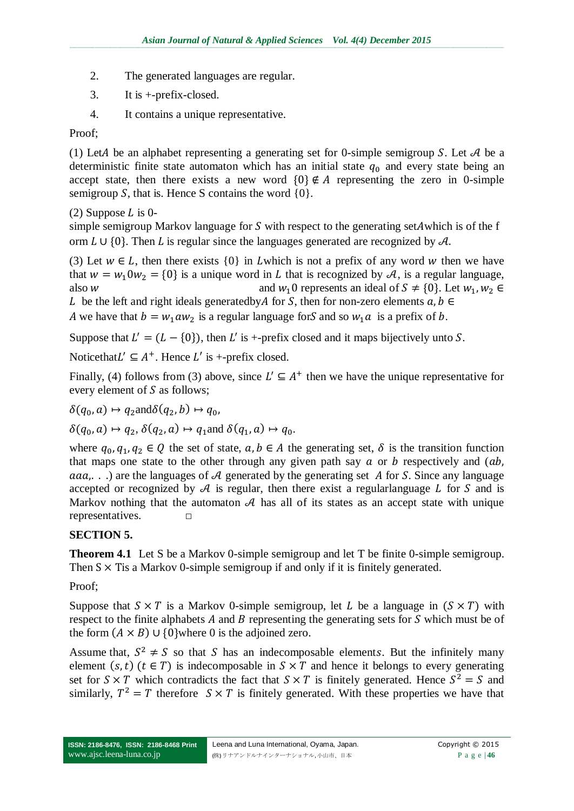- 2. The generated languages are regular.
- 3. It is +-prefix-closed.
- 4. It contains a unique representative.

### Proof;

(1) Let A be an alphabet representing a generating set for 0-simple semigroup S. Let  $A$  be a deterministic finite state automaton which has an initial state  $q_0$  and every state being an accept state, then there exists a new word  $\{0\} \notin A$  representing the zero in 0-simple semigroup S, that is. Hence S contains the word  $\{0\}$ .

(2) Suppose  $L$  is 0-

simple semigroup Markov language for S with respect to the generating set A which is of the f orm  $L \cup \{0\}$ . Then L is regular since the languages generated are recognized by  $\mathcal{A}$ .

(3) Let  $w \in L$ , then there exists  $\{0\}$  in Lwhich is not a prefix of any word w then we have that  $w = w_1 0 w_2 = \{0\}$  is a unique word in L that is recognized by A, is a regular language, also w and  $w_1$ 0 represents an ideal of  $S \neq \{0\}$ . Let  $w_1, w_2 \in$ 

L be the left and right ideals generatedby A for S, then for non-zero elements  $a, b \in$ A we have that  $b = w_1 a w_2$  is a regular language for S and so  $w_1 a$  is a prefix of b.

Suppose that  $L' = (L - \{0\})$ , then L' is +-prefix closed and it maps bijectively unto S.

Noticethat  $L' \subseteq A^+$ . Hence  $L'$  is +-prefix closed.

Finally, (4) follows from (3) above, since  $L' \subseteq A^+$  then we have the unique representative for every element of  $S$  as follows;

 $\delta(q_0, a) \mapsto q_2$  and  $\delta(q_2, b) \mapsto q_0$ ,

 $\delta(q_0, a) \mapsto q_2, \delta(q_2, a) \mapsto q_1$  and  $\delta(q_1, a) \mapsto q_0$ .

where  $q_0, q_1, q_2 \in Q$  the set of state,  $a, b \in A$  the generating set,  $\delta$  is the transition function that maps one state to the other through any given path say  $a$  or  $b$  respectively and  $(ab,$ aaa,...) are the languages of A generated by the generating set A for S. Since any language accepted or recognized by  $\mathcal A$  is regular, then there exist a regularlanguage  $L$  for  $S$  and is Markov nothing that the automaton  $A$  has all of its states as an accept state with unique representatives. **□**

## **SECTION 5.**

**Theorem 4.1** Let S be a Markov 0-simple semigroup and let T be finite 0-simple semigroup. Then  $S \times T$  is a Markov 0-simple semigroup if and only if it is finitely generated.

Proof;

Suppose that  $S \times T$  is a Markov 0-simple semigroup, let L be a language in  $(S \times T)$  with respect to the finite alphabets A and B representing the generating sets for S which must be of the form  $(A \times B)$  U {0} where 0 is the adjoined zero.

Assume that,  $S^2 \neq S$  so that S has an indecomposable elements. But the infinitely many element  $(s, t)$   $(t \in T)$  is indecomposable in  $S \times T$  and hence it belongs to every generating set for  $S \times T$  which contradicts the fact that  $S \times T$  is finitely generated. Hence  $S^2 = S$  and similarly,  $T^2 = T$  therefore  $S \times T$  is finitely generated. With these properties we have that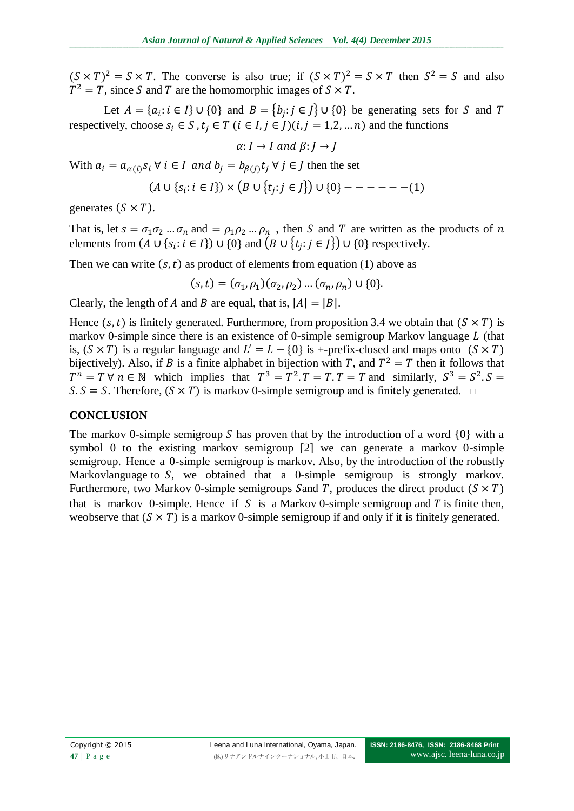$(S \times T)^2 = S \times T$ . The converse is also true; if  $(S \times T)^2 = S \times T$  then  $S^2 = S$  and also  $T^2 = T$ , since S and T are the homomorphic images of  $S \times T$ .

Let  $A = \{a_i : i \in I\} \cup \{0\}$  and  $B = \{b_i : j \in J\} \cup \{0\}$  be generating sets for S and respectively, choose  $s_i \in S$ ,  $t_i \in T$   $(i \in I, j \in J)$  $(i, j = 1, 2, ..., n)$  and the functions

$$
\alpha: I \to I \text{ and } \beta: J \to J
$$

With  $a_i = a_{\alpha(i)} s_i \ \forall \ i \in I$  and  $b_i = b_{\beta(i)} t_i \ \forall \ j \in J$  then the set

$$
(A \cup \{s_i : i \in I\}) \times (B \cup \{t_j : j \in J\}) \cup \{0\} --- --- (1)
$$

generates  $(S \times T)$ .

That is, let  $s = \sigma_1 \sigma_2 ... \sigma_n$  and  $= \rho_1 \rho_2 ... \rho_n$ , then S and T are written as the products of n elements from  $(A \cup \{s_i : i \in I\}) \cup \{0\}$  and  $(B \cup \{t_i : j \in J\}) \cup \{0\}$  respectively.

Then we can write  $(s, t)$  as product of elements from equation (1) above as

$$
(s, t) = (\sigma_1, \rho_1)(\sigma_2, \rho_2) \dots (\sigma_n, \rho_n) \cup \{0\}.
$$

Clearly, the length of A and B are equal, that is,  $|A| = |B|$ .

Hence  $(s, t)$  is finitely generated. Furthermore, from proposition 3.4 we obtain that  $(S \times T)$  is markov 0-simple since there is an existence of 0-simple semigroup Markov language  $L$  (that is,  $(S \times T)$  is a regular language and  $L' = L - \{0\}$  is +-prefix-closed and maps onto bijectively). Also, if B is a finite alphabet in bijection with T, and  $T^2 = T$  then it follows that  $T^n = T \forall n \in \mathbb{N}$  which implies that  $T^3 = T^2$ .  $T = T$ .  $T = T$  and similarly,  $S^3 = S^2$ .  $S.S = S$ . Therefore,  $(S \times T)$  is markov 0-simple semigroup and is finitely generated. □

### **CONCLUSION**

The markov 0-simple semigroup S has proven that by the introduction of a word  $\{0\}$  with a symbol 0 to the existing markov semigroup [2] we can generate a markov 0-simple semigroup. Hence a 0-simple semigroup is markov. Also, by the introduction of the robustly Markovlanguage to  $S$ , we obtained that a 0-simple semigroup is strongly markov. Furthermore, two Markov 0-simple semigroups Sand T, produces the direct product  $(S \times T)$ that is markov 0-simple. Hence if S is a Markov 0-simple semigroup and T is finite then, weobserve that  $(S \times T)$  is a markov 0-simple semigroup if and only if it is finitely generated.